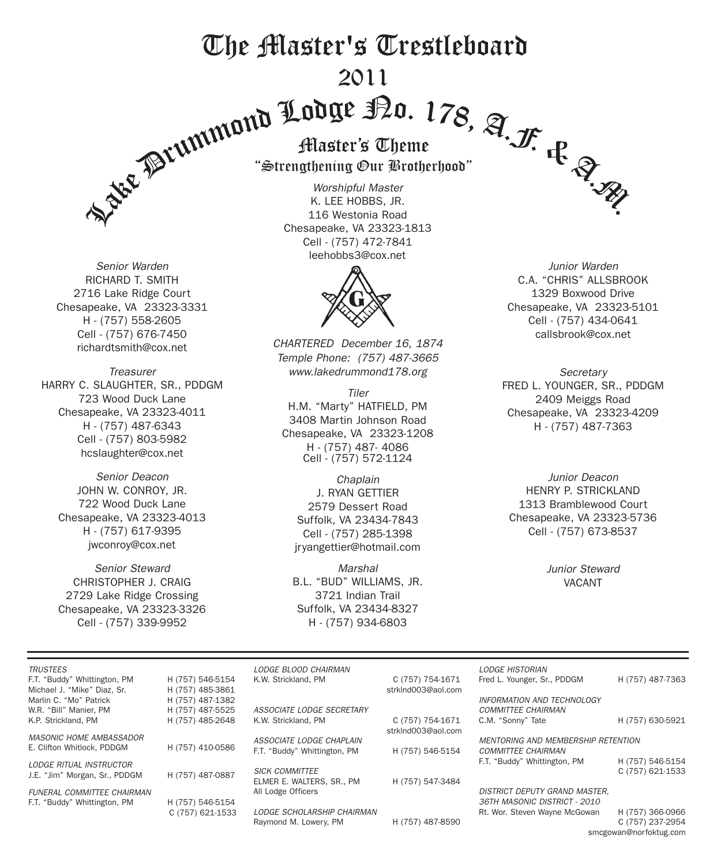# The Master's Trestleboard 2011

*Senior Warden* RICHARD T. SMITH 2716 Lake Ridge Court Chesapeake, VA 23323-3331 H - (757) 558-2605 Cell - (757) 676-7450 richardtsmith@cox.net

*Treasurer* HARRY C. SLAUGHTER, SR., PDDGM 723 Wood Duck Lane Chesapeake, VA 23323-4011 H - (757) 487-6343 Cell - (757) 803-5982 hcslaughter@cox.net

*Senior Deacon* JOHN W. CONROY, JR. 722 Wood Duck Lane Chesapeake, VA 23323-4013 H - (757) 617-9395 jwconroy@cox.net

*Senior Steward* CHRISTOPHER J. CRAIG 2729 Lake Ridge Crossing Chesapeake, VA 23323-3326 Cell - (757) 339-9952

Strengthening Our Brotherhood

*Worshipful Master* K. LEE HOBBS, JR. 116 Westonia Road Chesapeake, VA 23323-1813 Cell - (757) 472-7841 leehobbs3@cox.net



*CHARTERED December 16, 1874 Temple Phone: (757) 487-3665 www.lakedrummond178.org*

*Tiler* H.M. "Marty" HATFIELD, PM 3408 Martin Johnson Road Chesapeake, VA 23323-1208 H - (757) 487- 4086 Cell - (757) 572-1124

*Chaplain* J. RYAN GETTIER 2579 Dessert Road Suffolk, VA 23434-7843 Cell - (757) 285-1398 jryangettier@hotmail.com

*Marshal* B.L. "BUD" WILLIAMS, JR. 3721 Indian Trail Suffolk, VA 23434-8327 H - (757) 934-6803

*Junior Warden* C.A. "CHRIS" ALLSBROOK 1329 Boxwood Drive Chesapeake, VA 23323-5101 Cell - (757) 434-0641 callsbrook@cox.net

*Secretary* FRED L. YOUNGER, SR., PDDGM 2409 Meiggs Road Chesapeake, VA 23323-4209 H - (757) 487-7363

*Junior Deacon* HENRY P. STRICKLAND 1313 Bramblewood Court Chesapeake, VA 23323-5736 Cell - (757) 673-8537

> *Junior Steward* VACANT

| <b>TRUSTEES</b>                |                  | LODGE BLOOD CHAIRMAN              |                    | <b>LODGE HISTORIAN</b>               |                  |  |
|--------------------------------|------------------|-----------------------------------|--------------------|--------------------------------------|------------------|--|
| F.T. "Buddy" Whittington, PM   | H (757) 546-5154 | K.W. Strickland, PM               | C (757) 754-1671   | Fred L. Younger, Sr., PDDGM          | H (757) 487-7363 |  |
| Michael J. "Mike" Diaz. Sr.    | H (757) 485-3861 |                                   | strkInd003@aol.com |                                      |                  |  |
| Marlin C. "Mo" Patrick         | H (757) 487-1382 |                                   |                    | <b>INFORMATION AND TECHNOLOGY</b>    |                  |  |
| W.R. "Bill" Manier, PM         | H (757) 487-5525 | ASSOCIATE LODGE SECRETARY         |                    | <b>COMMITTEE CHAIRMAN</b>            |                  |  |
| K.P. Strickland, PM            | H (757) 485-2648 | K.W. Strickland, PM               | C (757) 754-1671   | C.M. "Sonny" Tate                    | H (757) 630-5921 |  |
|                                |                  |                                   | strkInd003@aol.com |                                      |                  |  |
| <b>MASONIC HOME AMBASSADOR</b> |                  | ASSOCIATE LODGE CHAPLAIN          |                    | MENTORING AND MEMBERSHIP RETENTION   |                  |  |
| E. Clifton Whitlock, PDDGM     | H (757) 410-0586 | F.T. "Buddy" Whittington, PM      | H (757) 546-5154   | <b>COMMITTEE CHAIRMAN</b>            |                  |  |
| <b>LODGE RITUAL INSTRUCTOR</b> |                  |                                   |                    | F.T. "Buddy" Whittington, PM         | H (757) 546-5154 |  |
|                                | H (757) 487-0887 | <b>SICK COMMITTEE</b>             |                    |                                      | C (757) 621-1533 |  |
| J.E. "Jim" Morgan, Sr., PDDGM  |                  | ELMER E. WALTERS, SR., PM         | H (757) 547-3484   |                                      |                  |  |
| FUNERAL COMMITTEE CHAIRMAN     |                  | All Lodge Officers                |                    | <b>DISTRICT DEPUTY GRAND MASTER.</b> |                  |  |
| F.T. "Buddy" Whittington, PM   | H (757) 546-5154 |                                   |                    | 36TH MASONIC DISTRICT - 2010         |                  |  |
|                                | C (757) 621-1533 | <b>LODGE SCHOLARSHIP CHAIRMAN</b> |                    | Rt. Wor. Steven Wayne McGowan        | H (757) 366-0966 |  |
|                                |                  | Raymond M. Lowery, PM             | H (757) 487-8590   |                                      | C (757) 237-2954 |  |

smcgowan@norfoktug.com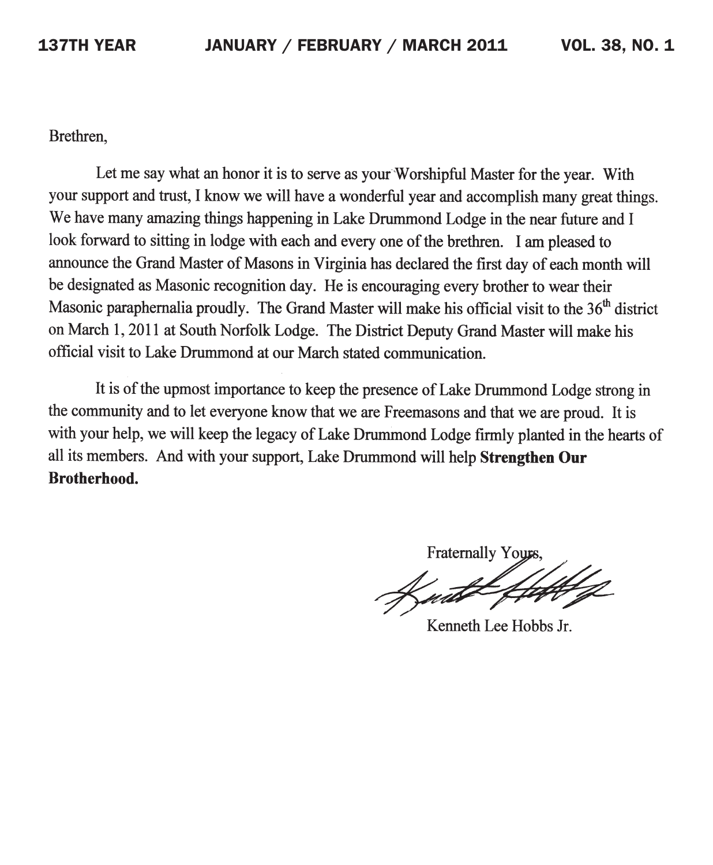Brethren.

Let me say what an honor it is to serve as your Worshipful Master for the year. With your support and trust, I know we will have a wonderful year and accomplish many great things. We have many amazing things happening in Lake Drummond Lodge in the near future and I look forward to sitting in lodge with each and every one of the brethren. I am pleased to announce the Grand Master of Masons in Virginia has declared the first day of each month will be designated as Masonic recognition day. He is encouraging every brother to wear their Masonic paraphernalia proudly. The Grand Master will make his official visit to the 36<sup>th</sup> district on March 1, 2011 at South Norfolk Lodge. The District Deputy Grand Master will make his official visit to Lake Drummond at our March stated communication.

It is of the upmost importance to keep the presence of Lake Drummond Lodge strong in the community and to let everyone know that we are Freemasons and that we are proud. It is with your help, we will keep the legacy of Lake Drummond Lodge firmly planted in the hearts of all its members. And with your support, Lake Drummond will help Strengthen Our **Brotherhood.** 

Fraternally Your

Kenneth Lee Hobbs Jr.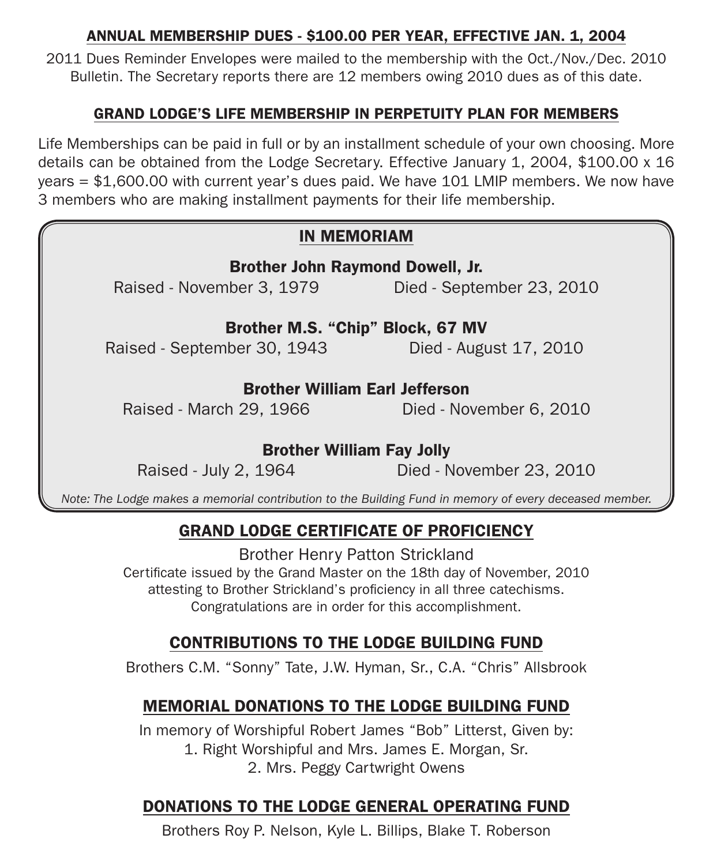#### ANNUAL MEMBERSHIP DUES - \$100.00 PER YEAR, EFFECTIVE JAN. 1, 2004

2011 Dues Reminder Envelopes were mailed to the membership with the Oct./Nov./Dec. 2010 Bulletin. The Secretary reports there are 12 members owing 2010 dues as of this date.

#### GRAND LODGE'S LIFE MEMBERSHIP IN PERPETUITY PLAN FOR MEMBERS

Life Memberships can be paid in full or by an installment schedule of your own choosing. More details can be obtained from the Lodge Secretary. Effective January 1, 2004, \$100.00 x 16 years = \$1,600.00 with current year's dues paid. We have 101 LMIP members. We now have 3 members who are making installment payments for their life membership.

#### IN MEMORIAM

Brother John Raymond Dowell, Jr. Raised - November 3, 1979 Died - September 23, 2010

Brother M.S. "Chip" Block, 67 MV Raised - September 30, 1943 Died - August 17, 2010

#### Brother William Earl Jefferson

Raised - March 29, 1966 Died - November 6, 2010

#### Brother William Fay Jolly

Raised - July 2, 1964 Died - November 23, 2010

*Note: The Lodge makes a memorial contribution to the Building Fund in memory of every deceased member.*

### GRAND LODGE CERTIFICATE OF PROFICIENCY

Brother Henry Patton Strickland Certificate issued by the Grand Master on the 18th day of November, 2010 attesting to Brother Strickland's proficiency in all three catechisms. Congratulations are in order for this accomplishment.

### contributions to the lodge building fund

Brothers C.M. "Sonny" Tate, J.W. Hyman, Sr., C.A. "Chris" Allsbrook

### MEMORIAL DONATIONS to the Lodge BUILDING fund

In memory of Worshipful Robert James "Bob" Litterst, Given by: 1. Right Worshipful and Mrs. James E. Morgan, Sr. 2. Mrs. Peggy Cartwright Owens

# DONATIONS to the Lodge GENERAL OPERATING fund

Brothers Roy P. Nelson, Kyle L. Billips, Blake T. Roberson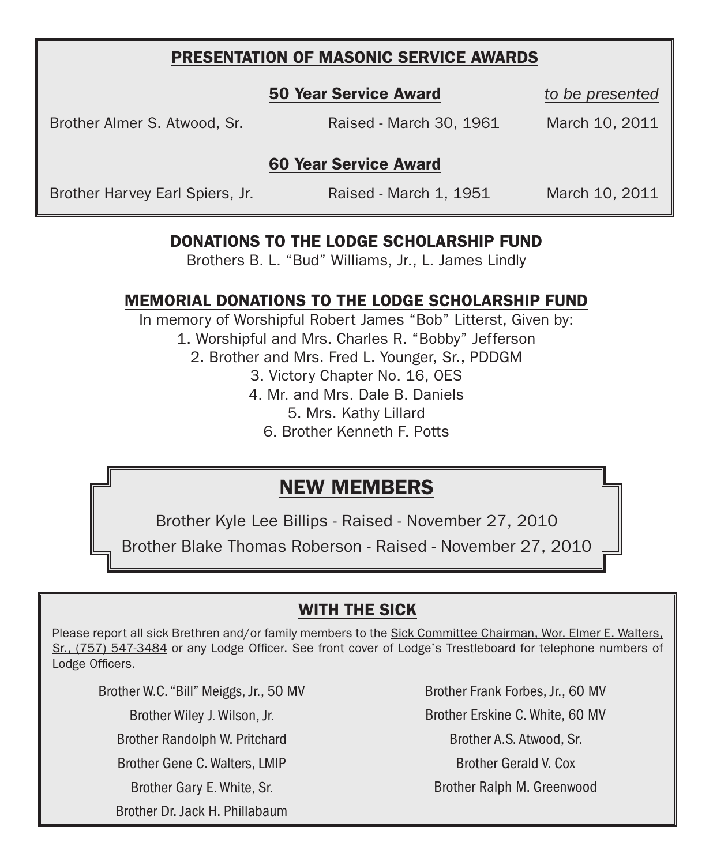#### PRESENTATION OF MASONIC SERVICE AWARDS

to be presented

Brother Almer S. Atwood, Sr. Raised - March 30, 1961 March 10, 2011

#### 60 Year Service Award

Brother Harvey Earl Spiers, Jr. Raised - March 1, 1951 March 10, 2011

### DONATIONS to the Lodge scholarship fund

Brothers B. L. "Bud" Williams, Jr., L. James Lindly

#### MEMORIAL DONATIONS to the Lodge scholarship fund

In memory of Worshipful Robert James "Bob" Litterst, Given by: 1. Worshipful and Mrs. Charles R. "Bobby" Jefferson 2. Brother and Mrs. Fred L. Younger, Sr., PDDGM 3. Victory Chapter No. 16, OES 4. Mr. and Mrs. Dale B. Daniels 5. Mrs. Kathy Lillard 6. Brother Kenneth F. Potts

# NEW MEMBERS

Brother Kyle Lee Billips - Raised - November 27, 2010

Brother Blake Thomas Roberson - Raised - November 27, 2010

### WITH THE SICK

Please report all sick Brethren and/or family members to the Sick Committee Chairman, Wor. Elmer E. Walters, Sr., (757) 547-3484 or any Lodge Officer. See front cover of Lodge's Trestleboard for telephone numbers of Lodge Officers.

Brother W.C. "Bill" Meiggs, Jr., 50 MV

Brother Wiley J. Wilson, Jr.

Brother Randolph W. Pritchard

Brother Gene C. Walters, Lmip

Brother Gary E. White, Sr.

Brother Dr. Jack H. Phillabaum

Brother Frank Forbes, Jr., 60 MV Brother Erskine C. White, 60 MV Brother A.S. Atwood, Sr. Brother Gerald V. Cox Brother Ralph M. Greenwood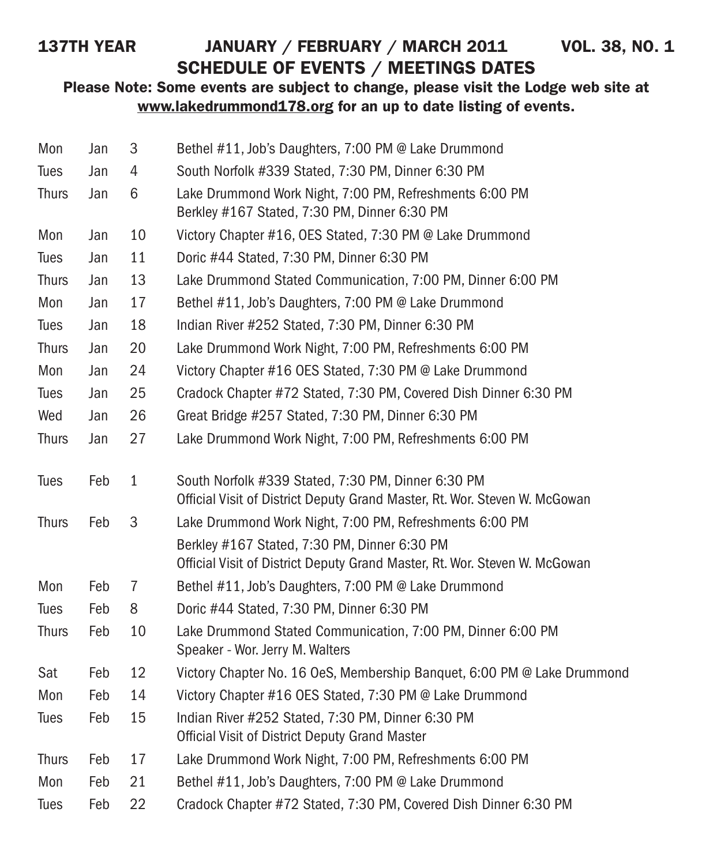# 137TH YEAR JANUARY / FEBRUARY / MARCH 2011 VOL. 38, NO. 1 SCHEDULE OF EVENTS / MEETINGS DATES

#### Please Note: Some events are subject to change, please visit the Lodge web site at www.lakedrummond178.org for an up to date listing of events.

| Mon          | Jan | 3            | Bethel #11, Job's Daughters, 7:00 PM @ Lake Drummond                                                                             |
|--------------|-----|--------------|----------------------------------------------------------------------------------------------------------------------------------|
| Tues         | Jan | 4            | South Norfolk #339 Stated, 7:30 PM, Dinner 6:30 PM                                                                               |
| <b>Thurs</b> | Jan | 6            | Lake Drummond Work Night, 7:00 PM, Refreshments 6:00 PM<br>Berkley #167 Stated, 7:30 PM, Dinner 6:30 PM                          |
| Mon          | Jan | 10           | Victory Chapter #16, OES Stated, 7:30 PM @ Lake Drummond                                                                         |
| Tues         | Jan | 11           | Doric #44 Stated, 7:30 PM, Dinner 6:30 PM                                                                                        |
| <b>Thurs</b> | Jan | 13           | Lake Drummond Stated Communication, 7:00 PM, Dinner 6:00 PM                                                                      |
| Mon          | Jan | 17           | Bethel #11, Job's Daughters, 7:00 PM @ Lake Drummond                                                                             |
| Tues         | Jan | 18           | Indian River #252 Stated, 7:30 PM, Dinner 6:30 PM                                                                                |
| <b>Thurs</b> | Jan | 20           | Lake Drummond Work Night, 7:00 PM, Refreshments 6:00 PM                                                                          |
| Mon          | Jan | 24           | Victory Chapter #16 OES Stated, 7:30 PM @ Lake Drummond                                                                          |
| Tues         | Jan | 25           | Cradock Chapter #72 Stated, 7:30 PM, Covered Dish Dinner 6:30 PM                                                                 |
| Wed          | Jan | 26           | Great Bridge #257 Stated, 7:30 PM, Dinner 6:30 PM                                                                                |
| <b>Thurs</b> | Jan | 27           | Lake Drummond Work Night, 7:00 PM, Refreshments 6:00 PM                                                                          |
| Tues         | Feb | $\mathbf{1}$ | South Norfolk #339 Stated, 7:30 PM, Dinner 6:30 PM<br>Official Visit of District Deputy Grand Master, Rt. Wor. Steven W. McGowan |
| <b>Thurs</b> | Feb | 3            | Lake Drummond Work Night, 7:00 PM, Refreshments 6:00 PM                                                                          |
|              |     |              | Berkley #167 Stated, 7:30 PM, Dinner 6:30 PM<br>Official Visit of District Deputy Grand Master, Rt. Wor. Steven W. McGowan       |
| Mon          | Feb | 7            | Bethel #11, Job's Daughters, 7:00 PM @ Lake Drummond                                                                             |
| Tues         | Feb | 8            | Doric #44 Stated, 7:30 PM, Dinner 6:30 PM                                                                                        |
| <b>Thurs</b> | Feb | 10           | Lake Drummond Stated Communication, 7:00 PM, Dinner 6:00 PM<br>Speaker - Wor. Jerry M. Walters                                   |
| Sat          | Feb | 12           | Victory Chapter No. 16 OeS, Membership Banquet, 6:00 PM @ Lake Drummond                                                          |
| Mon          | Feb | 14           | Victory Chapter #16 OES Stated, 7:30 PM @ Lake Drummond                                                                          |
| Tues         | Feb | 15           | Indian River #252 Stated, 7:30 PM, Dinner 6:30 PM<br><b>Official Visit of District Deputy Grand Master</b>                       |
| <b>Thurs</b> | Feb | 17           | Lake Drummond Work Night, 7:00 PM, Refreshments 6:00 PM                                                                          |
| Mon          | Feb | 21           | Bethel #11, Job's Daughters, 7:00 PM @ Lake Drummond                                                                             |
| <b>Tues</b>  | Feb | 22           | Cradock Chapter #72 Stated, 7:30 PM, Covered Dish Dinner 6:30 PM                                                                 |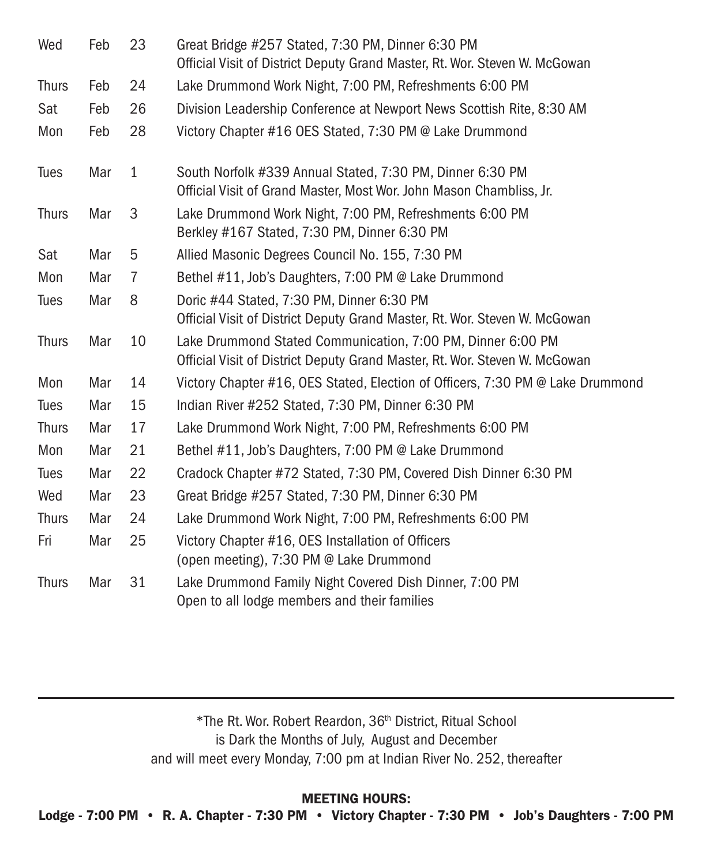| Wed          | Feb | 23           | Great Bridge #257 Stated, 7:30 PM, Dinner 6:30 PM<br>Official Visit of District Deputy Grand Master, Rt. Wor. Steven W. McGowan           |
|--------------|-----|--------------|-------------------------------------------------------------------------------------------------------------------------------------------|
| <b>Thurs</b> | Feb | 24           | Lake Drummond Work Night, 7:00 PM, Refreshments 6:00 PM                                                                                   |
| Sat          | Feb | 26           | Division Leadership Conference at Newport News Scottish Rite, 8:30 AM                                                                     |
| Mon          | Feb | 28           | Victory Chapter #16 OES Stated, 7:30 PM @ Lake Drummond                                                                                   |
| <b>Tues</b>  | Mar | $\mathbf{1}$ | South Norfolk #339 Annual Stated, 7:30 PM, Dinner 6:30 PM<br>Official Visit of Grand Master, Most Wor. John Mason Chambliss, Jr.          |
| <b>Thurs</b> | Mar | 3            | Lake Drummond Work Night, 7:00 PM, Refreshments 6:00 PM<br>Berkley #167 Stated, 7:30 PM, Dinner 6:30 PM                                   |
| Sat          | Mar | 5            | Allied Masonic Degrees Council No. 155, 7:30 PM                                                                                           |
| Mon          | Mar | 7            | Bethel #11, Job's Daughters, 7:00 PM @ Lake Drummond                                                                                      |
| <b>Tues</b>  | Mar | 8            | Doric #44 Stated, 7:30 PM, Dinner 6:30 PM<br>Official Visit of District Deputy Grand Master, Rt. Wor. Steven W. McGowan                   |
| <b>Thurs</b> | Mar | 10           | Lake Drummond Stated Communication, 7:00 PM, Dinner 6:00 PM<br>Official Visit of District Deputy Grand Master, Rt. Wor. Steven W. McGowan |
| Mon          | Mar | 14           | Victory Chapter #16, OES Stated, Election of Officers, 7:30 PM @ Lake Drummond                                                            |
| Tues         | Mar | 15           | Indian River #252 Stated, 7:30 PM, Dinner 6:30 PM                                                                                         |
| <b>Thurs</b> | Mar | 17           | Lake Drummond Work Night, 7:00 PM, Refreshments 6:00 PM                                                                                   |
| Mon          | Mar | 21           | Bethel #11, Job's Daughters, 7:00 PM @ Lake Drummond                                                                                      |
| Tues         | Mar | 22           | Cradock Chapter #72 Stated, 7:30 PM, Covered Dish Dinner 6:30 PM                                                                          |
| Wed          | Mar | 23           | Great Bridge #257 Stated, 7:30 PM, Dinner 6:30 PM                                                                                         |
| <b>Thurs</b> | Mar | 24           | Lake Drummond Work Night, 7:00 PM, Refreshments 6:00 PM                                                                                   |
| Fri          | Mar | 25           | Victory Chapter #16, OES Installation of Officers<br>(open meeting), 7:30 PM @ Lake Drummond                                              |
| <b>Thurs</b> | Mar | 31           | Lake Drummond Family Night Covered Dish Dinner, 7:00 PM<br>Open to all lodge members and their families                                   |

\*The Rt. Wor. Robert Reardon, 36th District, Ritual School is Dark the Months of July, August and December and will meet every Monday, 7:00 pm at Indian River No. 252, thereafter

MEETING HOURS:

Lodge - 7:00 PM • R. A. Chapter - 7:30 PM • Victory Chapter - 7:30 PM • Job's Daughters - 7:00 PM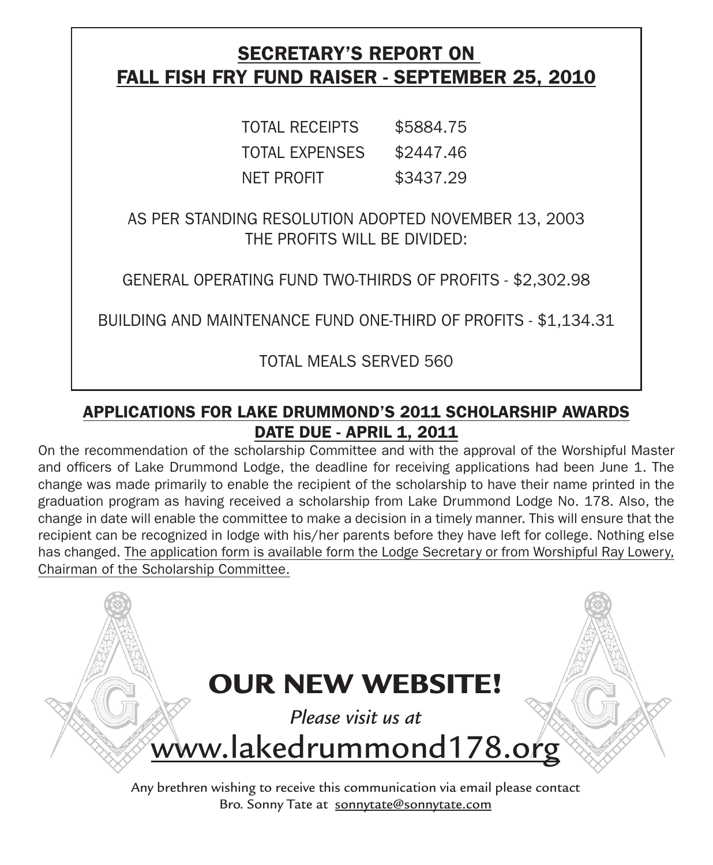# SECRETARY'S REPORT ON Fall fish fry fund raiser - september 25, 2010

| <b>TOTAL RECEIPTS</b> | \$5884.75 |
|-----------------------|-----------|
| <b>TOTAL EXPENSES</b> | \$2447.46 |
| NET PROFIT            | \$3437.29 |

AS PER STANDING RESOLUTION ADOPTED NOVEMBER 13, 2003 THE PROFITS WILL BE DIVIDED:

GENERAL OPERATING FUND TWO-THIRDS OF PROFITS - \$2,302.98

BUILDING AND MAINTENANCE FUND ONE-THIRD OF PROFITS - \$1,134.31

TOTAL MEALS SERVED 560

# APPLICATIONS FOR LAKE DRUMMOND'S 2011 SCHOLARSHIP AWARDS **DATE DUE - APRIL 1, 2011**

On the recommendation of the scholarship Committee and with the approval of the Worshipful Master and officers of Lake Drummond Lodge, the deadline for receiving applications had been June 1. The change was made primarily to enable the recipient of the scholarship to have their name printed in the graduation program as having received a scholarship from Lake Drummond Lodge No. 178. Also, the change in date will enable the committee to make a decision in a timely manner. This will ensure that the recipient can be recognized in lodge with his/her parents before they have left for college. Nothing else has changed. The application form is available form the Lodge Secretary or from Worshipful Ray Lowery, Chairman of the Scholarship Committee.

OUR NEW WEBSITE! *Please visit us at*  www.lakedrummond178.org

Any brethren wishing to receive this communication via email please contact Bro. Sonny Tate at sonnytate@sonnytate.com